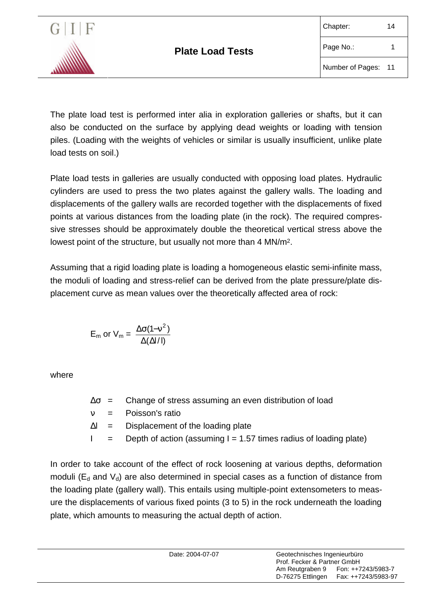

The plate load test is performed inter alia in exploration galleries or shafts, but it can also be conducted on the surface by applying dead weights or loading with tension piles. (Loading with the weights of vehicles or similar is usually insufficient, unlike plate load tests on soil.)

Plate load tests in galleries are usually conducted with opposing load plates. Hydraulic cylinders are used to press the two plates against the gallery walls. The loading and displacements of the gallery walls are recorded together with the displacements of fixed points at various distances from the loading plate (in the rock). The required compressive stresses should be approximately double the theoretical vertical stress above the lowest point of the structure, but usually not more than 4 MN/m2.

Assuming that a rigid loading plate is loading a homogeneous elastic semi-infinite mass, the moduli of loading and stress-relief can be derived from the plate pressure/plate displacement curve as mean values over the theoretically affected area of rock:

$$
E_m \text{ or } V_m = \frac{\Delta \sigma (1-v^2)}{\Delta (\Delta I/I)}
$$

where

|  | $\Delta \sigma$ = Change of stress assuming an even distribution of load                    |
|--|---------------------------------------------------------------------------------------------|
|  | $v = Poisson's ratio$                                                                       |
|  | $\Delta I =$ Displacement of the loading plate                                              |
|  | $\mathsf{l}$ = Depth of action (assuming $\mathsf{l} = 1.57$ times radius of loading plate) |

In order to take account of the effect of rock loosening at various depths, deformation moduli ( $E_d$  and  $V_d$ ) are also determined in special cases as a function of distance from the loading plate (gallery wall). This entails using multiple-point extensometers to measure the displacements of various fixed points (3 to 5) in the rock underneath the loading plate, which amounts to measuring the actual depth of action.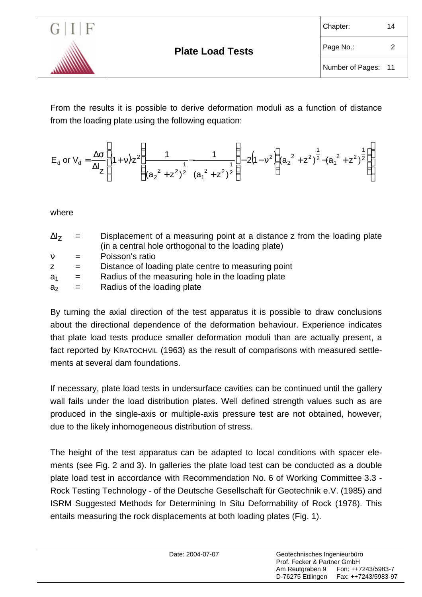

From the results it is possible to derive deformation moduli as a function of distance from the loading plate using the following equation:

$$
E_{d} \text{ or } V_{d} = \frac{\Delta \sigma}{\Delta I_{Z}} \left[ (1+v)z^{2} \left( \frac{1}{(a_{2}^{2}+z^{2})^{2}} \frac{1}{(a_{1}^{2}+z^{2})^{2}} \right) - 2(1-v^{2}) \left( (a_{2}^{2}+z^{2})^{2} - (a_{1}^{2}+z^{2})^{2} \right) \right]
$$

where

| $\Delta I_z$ | $=$ | Displacement of a measuring point at a distance z from the loading plate |
|--------------|-----|--------------------------------------------------------------------------|
|              |     | (in a central hole orthogonal to the loading plate)                      |
| $\mathbf{v}$ | $=$ | Poisson's ratio                                                          |
|              | $=$ | Distance of loading plate centre to measuring point                      |
| $\sim$       |     | <b>Dodius of the measuring hole in the leading plate</b>                 |

| Radius of the measuring hole in the loading plate<br>a <sub>1</sub> |  |
|---------------------------------------------------------------------|--|
|---------------------------------------------------------------------|--|

 $a_2$  = Radius of the loading plate

By turning the axial direction of the test apparatus it is possible to draw conclusions about the directional dependence of the deformation behaviour. Experience indicates that plate load tests produce smaller deformation moduli than are actually present, a fact reported by KRATOCHVIL (1963) as the result of comparisons with measured settlements at several dam foundations.

If necessary, plate load tests in undersurface cavities can be continued until the gallery wall fails under the load distribution plates. Well defined strength values such as are produced in the single-axis or multiple-axis pressure test are not obtained, however, due to the likely inhomogeneous distribution of stress.

The height of the test apparatus can be adapted to local conditions with spacer elements (see Fig. 2 and 3). In galleries the plate load test can be conducted as a double plate load test in accordance with Recommendation No. 6 of Working Committee 3.3 - Rock Testing Technology - of the Deutsche Gesellschaft für Geotechnik e.V. (1985) and ISRM Suggested Methods for Determining In Situ Deformability of Rock (1978). This entails measuring the rock displacements at both loading plates (Fig. 1).

| Date: 2004-07-07 | Geotechnisches Ingenieurbüro<br>Prof. Fecker & Partner GmbH | Am Reutgraben 9 Fon: ++7243/5983-7<br>D-76275 Ettlingen    Fax: ++7243/5983-97 |
|------------------|-------------------------------------------------------------|--------------------------------------------------------------------------------|
|                  |                                                             |                                                                                |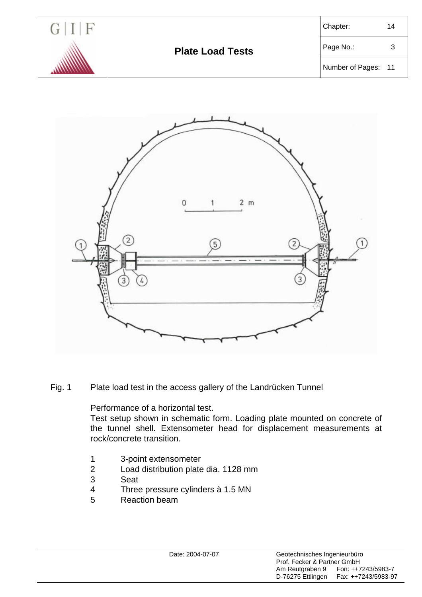



Fig. 1 Plate load test in the access gallery of the Landrücken Tunnel

Performance of a horizontal test.

Test setup shown in schematic form. Loading plate mounted on concrete of the tunnel shell. Extensometer head for displacement measurements at rock/concrete transition.

- 1 3-point extensometer
- 2 Load distribution plate dia. 1128 mm
- 3 Seat
- 4 Three pressure cylinders à 1.5 MN
- 5 Reaction beam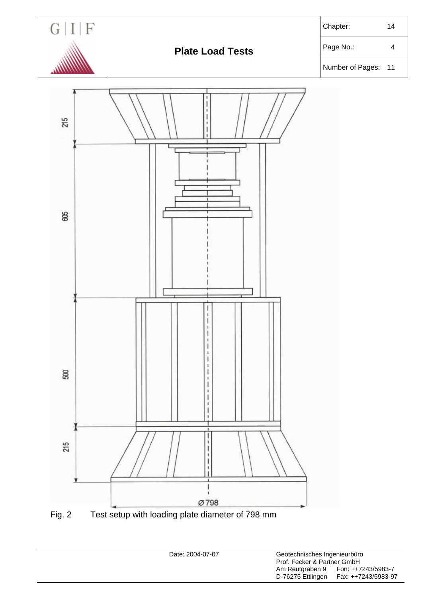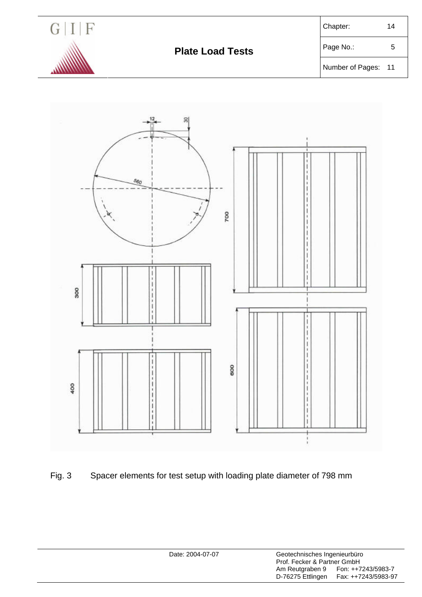

Number of Pages: 11





| Date: 2004-07-07 |                                      | Geotechnisches Ingenieurbüro<br>Prof. Fecker & Partner GmbH |  |  |
|------------------|--------------------------------------|-------------------------------------------------------------|--|--|
|                  | Am Reutgraben 9<br>D-76275 Ettlingen | Fon: ++7243/5983-7<br>Fax: ++7243/5983-97                   |  |  |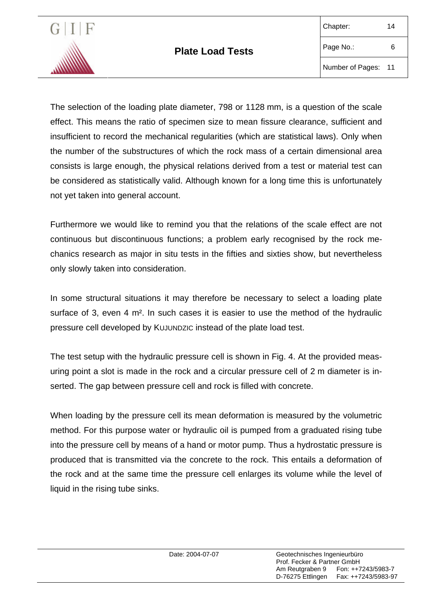

The selection of the loading plate diameter, 798 or 1128 mm, is a question of the scale effect. This means the ratio of specimen size to mean fissure clearance, sufficient and insufficient to record the mechanical regularities (which are statistical laws). Only when the number of the substructures of which the rock mass of a certain dimensional area consists is large enough, the physical relations derived from a test or material test can be considered as statistically valid. Although known for a long time this is unfortunately not yet taken into general account.

Furthermore we would like to remind you that the relations of the scale effect are not continuous but discontinuous functions; a problem early recognised by the rock mechanics research as major in situ tests in the fifties and sixties show, but nevertheless only slowly taken into consideration.

In some structural situations it may therefore be necessary to select a loading plate surface of 3, even 4 m<sup>2</sup>. In such cases it is easier to use the method of the hydraulic pressure cell developed by KUJUNDZIC instead of the plate load test.

The test setup with the hydraulic pressure cell is shown in Fig. 4. At the provided measuring point a slot is made in the rock and a circular pressure cell of 2 m diameter is inserted. The gap between pressure cell and rock is filled with concrete.

When loading by the pressure cell its mean deformation is measured by the volumetric method. For this purpose water or hydraulic oil is pumped from a graduated rising tube into the pressure cell by means of a hand or motor pump. Thus a hydrostatic pressure is produced that is transmitted via the concrete to the rock. This entails a deformation of the rock and at the same time the pressure cell enlarges its volume while the level of liquid in the rising tube sinks.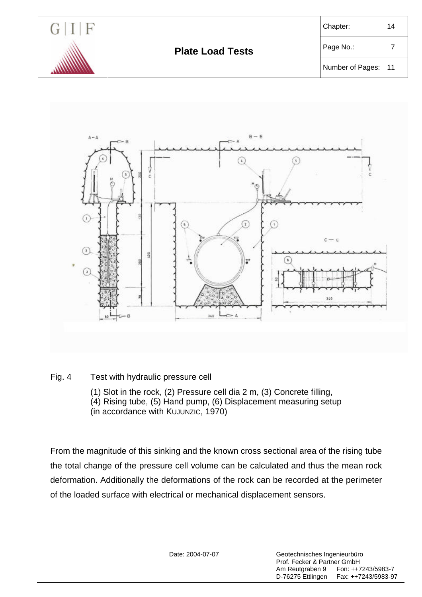



## Fig. 4 Test with hydraulic pressure cell

- (1) Slot in the rock, (2) Pressure cell dia 2 m, (3) Concrete filling,
- (4) Rising tube, (5) Hand pump, (6) Displacement measuring setup
- (in accordance with KUJUNZIC, 1970)

From the magnitude of this sinking and the known cross sectional area of the rising tube the total change of the pressure cell volume can be calculated and thus the mean rock deformation. Additionally the deformations of the rock can be recorded at the perimeter of the loaded surface with electrical or mechanical displacement sensors.

| Geotechnisches Ingenieurbüro<br>Date: 2004-07-07<br>Prof. Fecker & Partner GmbH<br>Am Reutgraben 9<br>Fon: ++7243/5983-7<br>D-76275 Ettlingen Fax: ++7243/5983-97 |  |
|-------------------------------------------------------------------------------------------------------------------------------------------------------------------|--|
|-------------------------------------------------------------------------------------------------------------------------------------------------------------------|--|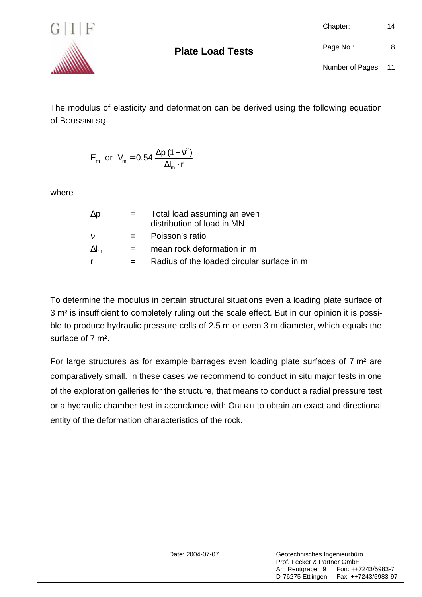

The modulus of elasticity and deformation can be derived using the following equation of BOUSSINESQ

E<sub>m</sub> or V<sub>m</sub> = 0.54 
$$
\frac{\Delta p (1 - v^2)}{\Delta l_m \cdot r}
$$

where

| $\Delta p$   |     | Total load assuming an even<br>distribution of load in MN |
|--------------|-----|-----------------------------------------------------------|
| ν            |     | Poisson's ratio                                           |
| $\Delta I_m$ | $=$ | mean rock deformation in m                                |
| r            |     | Radius of the loaded circular surface in m                |

To determine the modulus in certain structural situations even a loading plate surface of 3 m² is insufficient to completely ruling out the scale effect. But in our opinion it is possible to produce hydraulic pressure cells of 2.5 m or even 3 m diameter, which equals the surface of 7 m².

For large structures as for example barrages even loading plate surfaces of 7 m² are comparatively small. In these cases we recommend to conduct in situ major tests in one of the exploration galleries for the structure, that means to conduct a radial pressure test or a hydraulic chamber test in accordance with OBERTI to obtain an exact and directional entity of the deformation characteristics of the rock.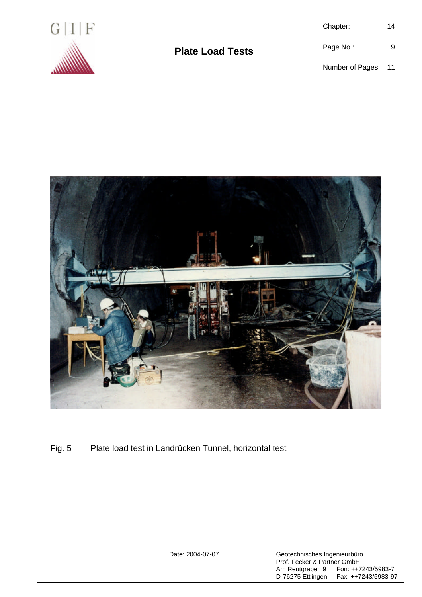



Fig. 5 Plate load test in Landrücken Tunnel, horizontal test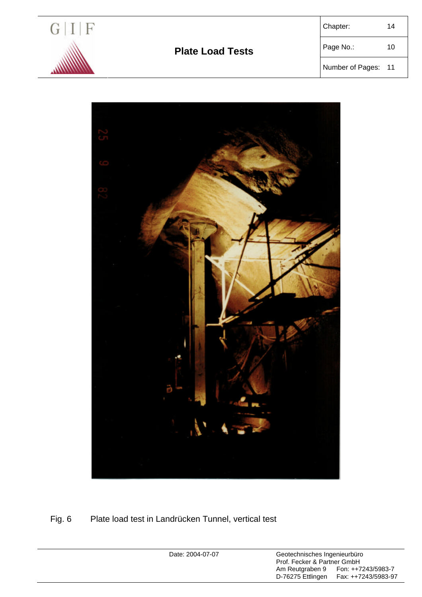

## **Plate Load Tests** Page No.: 10

| 14 |
|----|
|    |

Number of Pages: 11



## Fig. 6 Plate load test in Landrücken Tunnel, vertical test

Date: 2004-07-07 Geotechnisches Ingenieurbüro Prof. Fecker & Partner GmbH<br>Am Reutgraben 9 Fon: ++7<br>D-76275 Ettlingen Fax: ++7 Am Reutgraben 9 Fon: ++7243/5983-7 D-76275 Ettlingen Fax: ++7243/5983-97